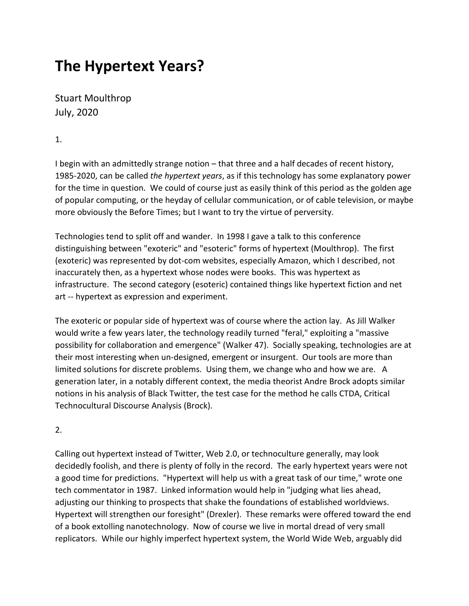# **The Hypertext Years?**

Stuart Moulthrop July, 2020

1.

I begin with an admittedly strange notion – that three and a half decades of recent history, 1985-2020, can be called *the hypertext years*, as if this technology has some explanatory power for the time in question. We could of course just as easily think of this period as the golden age of popular computing, or the heyday of cellular communication, or of cable television, or maybe more obviously the Before Times; but I want to try the virtue of perversity.

Technologies tend to split off and wander. In 1998 I gave a talk to this conference distinguishing between "exoteric" and "esoteric" forms of hypertext (Moulthrop). The first (exoteric) was represented by dot-com websites, especially Amazon, which I described, not inaccurately then, as a hypertext whose nodes were books. This was hypertext as infrastructure. The second category (esoteric) contained things like hypertext fiction and net art -- hypertext as expression and experiment.

The exoteric or popular side of hypertext was of course where the action lay. As Jill Walker would write a few years later, the technology readily turned "feral," exploiting a "massive possibility for collaboration and emergence" (Walker 47). Socially speaking, technologies are at their most interesting when un-designed, emergent or insurgent. Our tools are more than limited solutions for discrete problems. Using them, we change who and how we are. A generation later, in a notably different context, the media theorist Andre Brock adopts similar notions in his analysis of Black Twitter, the test case for the method he calls CTDA, Critical Technocultural Discourse Analysis (Brock).

2.

Calling out hypertext instead of Twitter, Web 2.0, or technoculture generally, may look decidedly foolish, and there is plenty of folly in the record. The early hypertext years were not a good time for predictions. "Hypertext will help us with a great task of our time," wrote one tech commentator in 1987. Linked information would help in "judging what lies ahead, adjusting our thinking to prospects that shake the foundations of established worldviews. Hypertext will strengthen our foresight" (Drexler). These remarks were offered toward the end of a book extolling nanotechnology. Now of course we live in mortal dread of very small replicators. While our highly imperfect hypertext system, the World Wide Web, arguably did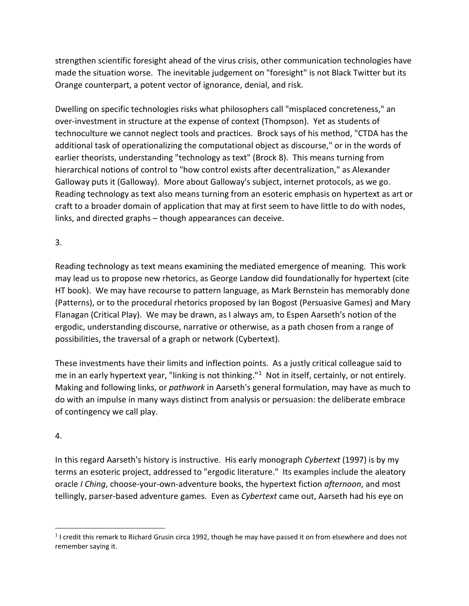strengthen scientific foresight ahead of the virus crisis, other communication technologies have made the situation worse. The inevitable judgement on "foresight" is not Black Twitter but its Orange counterpart, a potent vector of ignorance, denial, and risk.

Dwelling on specific technologies risks what philosophers call "misplaced concreteness," an over-investment in structure at the expense of context (Thompson). Yet as students of technoculture we cannot neglect tools and practices. Brock says of his method, "CTDA has the additional task of operationalizing the computational object as discourse," or in the words of earlier theorists, understanding "technology as text" (Brock 8). This means turning from hierarchical notions of control to "how control exists after decentralization," as Alexander Galloway puts it (Galloway). More about Galloway's subject, internet protocols, as we go. Reading technology as text also means turning from an esoteric emphasis on hypertext as art or craft to a broader domain of application that may at first seem to have little to do with nodes, links, and directed graphs – though appearances can deceive.

## 3.

Reading technology as text means examining the mediated emergence of meaning. This work may lead us to propose new rhetorics, as George Landow did foundationally for hypertext (cite HT book). We may have recourse to pattern language, as Mark Bernstein has memorably done (Patterns), or to the procedural rhetorics proposed by Ian Bogost (Persuasive Games) and Mary Flanagan (Critical Play). We may be drawn, as I always am, to Espen Aarseth's notion of the ergodic, understanding discourse, narrative or otherwise, as a path chosen from a range of possibilities, the traversal of a graph or network (Cybertext).

These investments have their limits and inflection points. As a justly critical colleague said to me in an early hypertext year, "linking is not thinking."<sup>1</sup> Not in itself, certainly, or not entirely. Making and following links, or *pathwork* in Aarseth's general formulation, may have as much to do with an impulse in many ways distinct from analysis or persuasion: the deliberate embrace of contingency we call play.

## 4.

In this regard Aarseth's history is instructive. His early monograph *Cybertext* (1997) is by my terms an esoteric project, addressed to "ergodic literature." Its examples include the aleatory oracle *I Ching*, choose-your-own-adventure books, the hypertext fiction *afternoon*, and most tellingly, parser-based adventure games. Even as *Cybertext* came out, Aarseth had his eye on

<span id="page-1-0"></span><sup>1</sup> I credit this remark to Richard Grusin circa 1992, though he may have passed it on from elsewhere and does not remember saying it.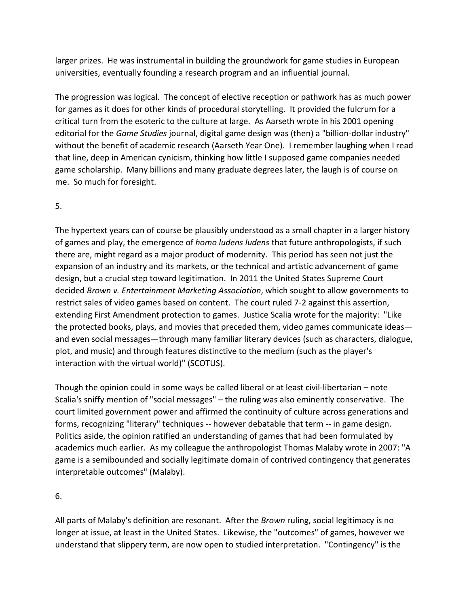larger prizes. He was instrumental in building the groundwork for game studies in European universities, eventually founding a research program and an influential journal.

The progression was logical. The concept of elective reception or pathwork has as much power for games as it does for other kinds of procedural storytelling. It provided the fulcrum for a critical turn from the esoteric to the culture at large. As Aarseth wrote in his 2001 opening editorial for the *Game Studies* journal, digital game design was (then) a "billion-dollar industry" without the benefit of academic research (Aarseth Year One). I remember laughing when I read that line, deep in American cynicism, thinking how little I supposed game companies needed game scholarship. Many billions and many graduate degrees later, the laugh is of course on me. So much for foresight.

# 5.

The hypertext years can of course be plausibly understood as a small chapter in a larger history of games and play, the emergence of *homo ludens ludens* that future anthropologists, if such there are, might regard as a major product of modernity. This period has seen not just the expansion of an industry and its markets, or the technical and artistic advancement of game design, but a crucial step toward legitimation. In 2011 the United States Supreme Court decided *Brown v. Entertainment Marketing Association*, which sought to allow governments to restrict sales of video games based on content. The court ruled 7-2 against this assertion, extending First Amendment protection to games. Justice Scalia wrote for the majority: "Like the protected books, plays, and movies that preceded them, video games communicate ideas and even social messages—through many familiar literary devices (such as characters, dialogue, plot, and music) and through features distinctive to the medium (such as the player's interaction with the virtual world)" (SCOTUS).

Though the opinion could in some ways be called liberal or at least civil-libertarian – note Scalia's sniffy mention of "social messages" – the ruling was also eminently conservative. The court limited government power and affirmed the continuity of culture across generations and forms, recognizing "literary" techniques -- however debatable that term -- in game design. Politics aside, the opinion ratified an understanding of games that had been formulated by academics much earlier. As my colleague the anthropologist Thomas Malaby wrote in 2007: "A game is a semibounded and socially legitimate domain of contrived contingency that generates interpretable outcomes" (Malaby).

## 6.

All parts of Malaby's definition are resonant. After the *Brown* ruling, social legitimacy is no longer at issue, at least in the United States. Likewise, the "outcomes" of games, however we understand that slippery term, are now open to studied interpretation. "Contingency" is the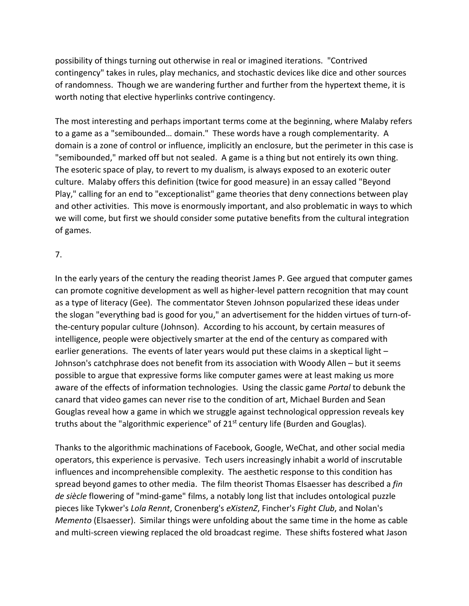possibility of things turning out otherwise in real or imagined iterations. "Contrived contingency" takes in rules, play mechanics, and stochastic devices like dice and other sources of randomness. Though we are wandering further and further from the hypertext theme, it is worth noting that elective hyperlinks contrive contingency.

The most interesting and perhaps important terms come at the beginning, where Malaby refers to a game as a "semibounded… domain." These words have a rough complementarity. A domain is a zone of control or influence, implicitly an enclosure, but the perimeter in this case is "semibounded," marked off but not sealed. A game is a thing but not entirely its own thing. The esoteric space of play, to revert to my dualism, is always exposed to an exoteric outer culture. Malaby offers this definition (twice for good measure) in an essay called "Beyond Play," calling for an end to "exceptionalist" game theories that deny connections between play and other activities. This move is enormously important, and also problematic in ways to which we will come, but first we should consider some putative benefits from the cultural integration of games.

## 7.

In the early years of the century the reading theorist James P. Gee argued that computer games can promote cognitive development as well as higher-level pattern recognition that may count as a type of literacy (Gee). The commentator Steven Johnson popularized these ideas under the slogan "everything bad is good for you," an advertisement for the hidden virtues of turn-ofthe-century popular culture (Johnson). According to his account, by certain measures of intelligence, people were objectively smarter at the end of the century as compared with earlier generations. The events of later years would put these claims in a skeptical light -Johnson's catchphrase does not benefit from its association with Woody Allen – but it seems possible to argue that expressive forms like computer games were at least making us more aware of the effects of information technologies. Using the classic game *Portal* to debunk the canard that video games can never rise to the condition of art, Michael Burden and Sean Gouglas reveal how a game in which we struggle against technological oppression reveals key truths about the "algorithmic experience" of  $21<sup>st</sup>$  century life (Burden and Gouglas).

Thanks to the algorithmic machinations of Facebook, Google, WeChat, and other social media operators, this experience is pervasive. Tech users increasingly inhabit a world of inscrutable influences and incomprehensible complexity. The aesthetic response to this condition has spread beyond games to other media. The film theorist Thomas Elsaesser has described a *fin de siècle* flowering of "mind-game" films, a notably long list that includes ontological puzzle pieces like Tykwer's *Lola Rennt*, Cronenberg's *eXistenZ*, Fincher's *Fight Club*, and Nolan's *Memento* (Elsaesser). Similar things were unfolding about the same time in the home as cable and multi-screen viewing replaced the old broadcast regime. These shifts fostered what Jason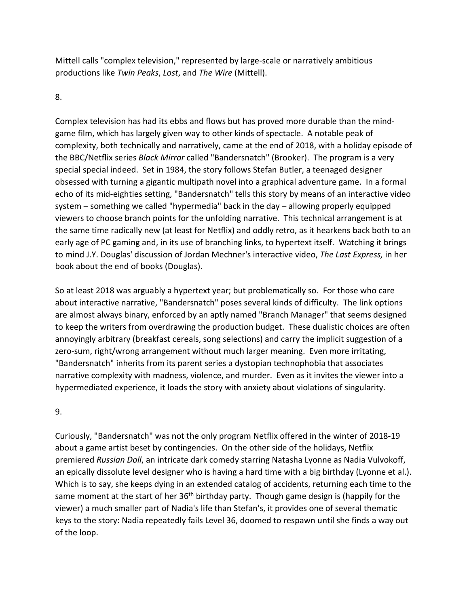Mittell calls "complex television," represented by large-scale or narratively ambitious productions like *Twin Peaks*, *Lost*, and *The Wire* (Mittell).

## 8.

Complex television has had its ebbs and flows but has proved more durable than the mindgame film, which has largely given way to other kinds of spectacle. A notable peak of complexity, both technically and narratively, came at the end of 2018, with a holiday episode of the BBC/Netflix series *Black Mirror* called "Bandersnatch" (Brooker). The program is a very special special indeed. Set in 1984, the story follows Stefan Butler, a teenaged designer obsessed with turning a gigantic multipath novel into a graphical adventure game. In a formal echo of its mid-eighties setting, "Bandersnatch" tells this story by means of an interactive video system – something we called "hypermedia" back in the day – allowing properly equipped viewers to choose branch points for the unfolding narrative. This technical arrangement is at the same time radically new (at least for Netflix) and oddly retro, as it hearkens back both to an early age of PC gaming and, in its use of branching links, to hypertext itself. Watching it brings to mind J.Y. Douglas' discussion of Jordan Mechner's interactive video, *The Last Express,* in her book about the end of books (Douglas).

So at least 2018 was arguably a hypertext year; but problematically so. For those who care about interactive narrative, "Bandersnatch" poses several kinds of difficulty. The link options are almost always binary, enforced by an aptly named "Branch Manager" that seems designed to keep the writers from overdrawing the production budget. These dualistic choices are often annoyingly arbitrary (breakfast cereals, song selections) and carry the implicit suggestion of a zero-sum, right/wrong arrangement without much larger meaning. Even more irritating, "Bandersnatch" inherits from its parent series a dystopian technophobia that associates narrative complexity with madness, violence, and murder. Even as it invites the viewer into a hypermediated experience, it loads the story with anxiety about violations of singularity.

## 9.

Curiously, "Bandersnatch" was not the only program Netflix offered in the winter of 2018-19 about a game artist beset by contingencies. On the other side of the holidays, Netflix premiered *Russian Doll*, an intricate dark comedy starring Natasha Lyonne as Nadia Vulvokoff, an epically dissolute level designer who is having a hard time with a big birthday (Lyonne et al.). Which is to say, she keeps dying in an extended catalog of accidents, returning each time to the same moment at the start of her 36<sup>th</sup> birthday party. Though game design is (happily for the viewer) a much smaller part of Nadia's life than Stefan's, it provides one of several thematic keys to the story: Nadia repeatedly fails Level 36, doomed to respawn until she finds a way out of the loop.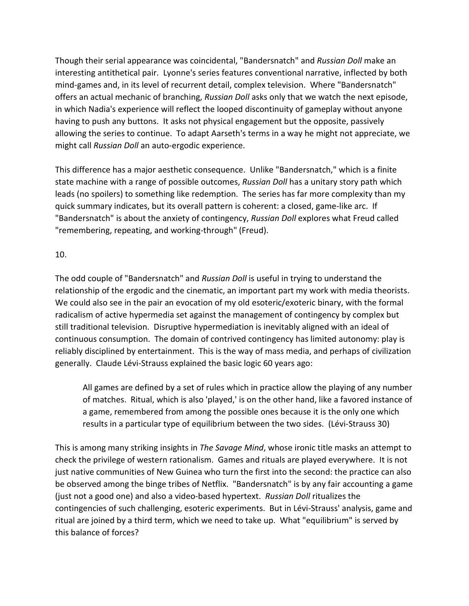Though their serial appearance was coincidental, "Bandersnatch" and *Russian Doll* make an interesting antithetical pair. Lyonne's series features conventional narrative, inflected by both mind-games and, in its level of recurrent detail, complex television. Where "Bandersnatch" offers an actual mechanic of branching, *Russian Doll* asks only that we watch the next episode, in which Nadia's experience will reflect the looped discontinuity of gameplay without anyone having to push any buttons. It asks not physical engagement but the opposite, passively allowing the series to continue. To adapt Aarseth's terms in a way he might not appreciate, we might call *Russian Doll* an auto-ergodic experience.

This difference has a major aesthetic consequence. Unlike "Bandersnatch," which is a finite state machine with a range of possible outcomes, *Russian Doll* has a unitary story path which leads (no spoilers) to something like redemption. The series has far more complexity than my quick summary indicates, but its overall pattern is coherent: a closed, game-like arc. If "Bandersnatch" is about the anxiety of contingency, *Russian Doll* explores what Freud called "remembering, repeating, and working-through" (Freud).

10.

The odd couple of "Bandersnatch" and *Russian Doll* is useful in trying to understand the relationship of the ergodic and the cinematic, an important part my work with media theorists. We could also see in the pair an evocation of my old esoteric/exoteric binary, with the formal radicalism of active hypermedia set against the management of contingency by complex but still traditional television. Disruptive hypermediation is inevitably aligned with an ideal of continuous consumption. The domain of contrived contingency has limited autonomy: play is reliably disciplined by entertainment. This is the way of mass media, and perhaps of civilization generally. Claude Lévi-Strauss explained the basic logic 60 years ago:

All games are defined by a set of rules which in practice allow the playing of any number of matches. Ritual, which is also 'played,' is on the other hand, like a favored instance of a game, remembered from among the possible ones because it is the only one which results in a particular type of equilibrium between the two sides. (Lévi-Strauss 30)

This is among many striking insights in *The Savage Mind*, whose ironic title masks an attempt to check the privilege of western rationalism. Games and rituals are played everywhere. It is not just native communities of New Guinea who turn the first into the second: the practice can also be observed among the binge tribes of Netflix. "Bandersnatch" is by any fair accounting a game (just not a good one) and also a video-based hypertext. *Russian Doll* ritualizes the contingencies of such challenging, esoteric experiments. But in Lévi-Strauss' analysis, game and ritual are joined by a third term, which we need to take up. What "equilibrium" is served by this balance of forces?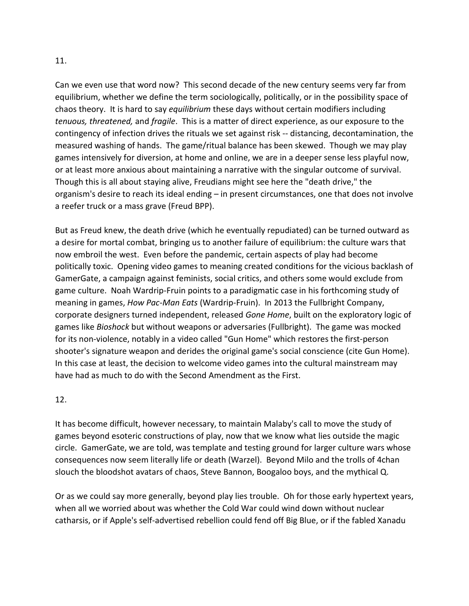11.

Can we even use that word now? This second decade of the new century seems very far from equilibrium, whether we define the term sociologically, politically, or in the possibility space of chaos theory. It is hard to say *equilibrium* these days without certain modifiers including *tenuous, threatened,* and *fragile*. This is a matter of direct experience, as our exposure to the contingency of infection drives the rituals we set against risk -- distancing, decontamination, the measured washing of hands. The game/ritual balance has been skewed. Though we may play games intensively for diversion, at home and online, we are in a deeper sense less playful now, or at least more anxious about maintaining a narrative with the singular outcome of survival. Though this is all about staying alive, Freudians might see here the "death drive," the organism's desire to reach its ideal ending – in present circumstances, one that does not involve a reefer truck or a mass grave (Freud BPP).

But as Freud knew, the death drive (which he eventually repudiated) can be turned outward as a desire for mortal combat, bringing us to another failure of equilibrium: the culture wars that now embroil the west. Even before the pandemic, certain aspects of play had become politically toxic. Opening video games to meaning created conditions for the vicious backlash of GamerGate, a campaign against feminists, social critics, and others some would exclude from game culture. Noah Wardrip-Fruin points to a paradigmatic case in his forthcoming study of meaning in games, *How Pac-Man Eats* (Wardrip-Fruin). In 2013 the Fullbright Company, corporate designers turned independent, released *Gone Home*, built on the exploratory logic of games like *Bioshock* but without weapons or adversaries (Fullbright). The game was mocked for its non-violence, notably in a video called "Gun Home" which restores the first-person shooter's signature weapon and derides the original game's social conscience (cite Gun Home). In this case at least, the decision to welcome video games into the cultural mainstream may have had as much to do with the Second Amendment as the First.

### 12.

It has become difficult, however necessary, to maintain Malaby's call to move the study of games beyond esoteric constructions of play, now that we know what lies outside the magic circle. GamerGate, we are told, was template and testing ground for larger culture wars whose consequences now seem literally life or death (Warzel). Beyond Milo and the trolls of 4chan slouch the bloodshot avatars of chaos, Steve Bannon, Boogaloo boys, and the mythical Q.

Or as we could say more generally, beyond play lies trouble. Oh for those early hypertext years, when all we worried about was whether the Cold War could wind down without nuclear catharsis, or if Apple's self-advertised rebellion could fend off Big Blue, or if the fabled Xanadu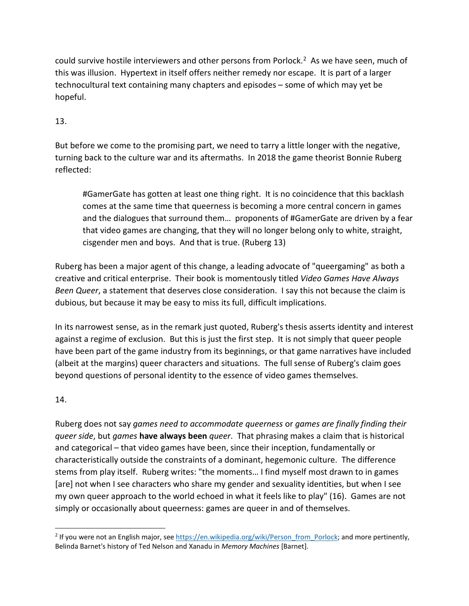could survive hostile interviewers and other persons from Porlock. [2](#page-7-0) As we have seen, much of this was illusion. Hypertext in itself offers neither remedy nor escape. It is part of a larger technocultural text containing many chapters and episodes – some of which may yet be hopeful.

# 13.

But before we come to the promising part, we need to tarry a little longer with the negative, turning back to the culture war and its aftermaths. In 2018 the game theorist Bonnie Ruberg reflected:

#GamerGate has gotten at least one thing right. It is no coincidence that this backlash comes at the same time that queerness is becoming a more central concern in games and the dialogues that surround them… proponents of #GamerGate are driven by a fear that video games are changing, that they will no longer belong only to white, straight, cisgender men and boys. And that is true. (Ruberg 13)

Ruberg has been a major agent of this change, a leading advocate of "queergaming" as both a creative and critical enterprise. Their book is momentously titled *Video Games Have Always Been Queer*, a statement that deserves close consideration. I say this not because the claim is dubious, but because it may be easy to miss its full, difficult implications.

In its narrowest sense, as in the remark just quoted, Ruberg's thesis asserts identity and interest against a regime of exclusion. But this is just the first step. It is not simply that queer people have been part of the game industry from its beginnings, or that game narratives have included (albeit at the margins) queer characters and situations. The full sense of Ruberg's claim goes beyond questions of personal identity to the essence of video games themselves.

## 14.

Ruberg does not say *games need to accommodate queerness* or *games are finally finding their queer side*, but *games* **have always been** *queer*. That phrasing makes a claim that is historical and categorical – that video games have been, since their inception, fundamentally or characteristically outside the constraints of a dominant, hegemonic culture. The difference stems from play itself. Ruberg writes: "the moments… I find myself most drawn to in games [are] not when I see characters who share my gender and sexuality identities, but when I see my own queer approach to the world echoed in what it feels like to play" (16). Games are not simply or occasionally about queerness: games are queer in and of themselves.

<span id="page-7-0"></span><sup>&</sup>lt;sup>2</sup> If you were not an English major, se[e https://en.wikipedia.org/wiki/Person\\_from\\_Porlock;](https://en.wikipedia.org/wiki/Person_from_Porlock) and more pertinently, Belinda Barnet's history of Ted Nelson and Xanadu in *Memory Machines* [Barnet].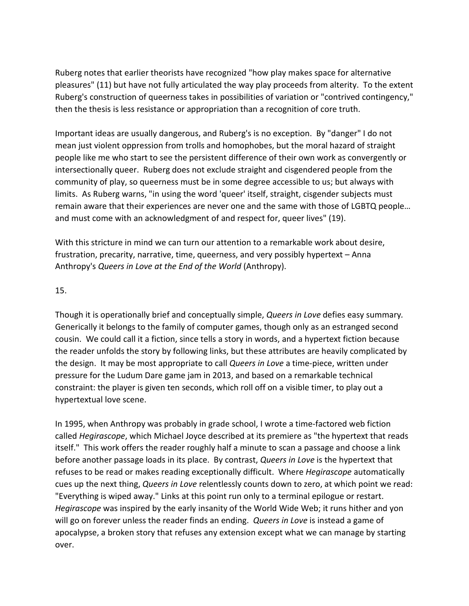Ruberg notes that earlier theorists have recognized "how play makes space for alternative pleasures" (11) but have not fully articulated the way play proceeds from alterity. To the extent Ruberg's construction of queerness takes in possibilities of variation or "contrived contingency," then the thesis is less resistance or appropriation than a recognition of core truth.

Important ideas are usually dangerous, and Ruberg's is no exception. By "danger" I do not mean just violent oppression from trolls and homophobes, but the moral hazard of straight people like me who start to see the persistent difference of their own work as convergently or intersectionally queer. Ruberg does not exclude straight and cisgendered people from the community of play, so queerness must be in some degree accessible to us; but always with limits. As Ruberg warns, "in using the word 'queer' itself, straight, cisgender subjects must remain aware that their experiences are never one and the same with those of LGBTQ people… and must come with an acknowledgment of and respect for, queer lives" (19).

With this stricture in mind we can turn our attention to a remarkable work about desire, frustration, precarity, narrative, time, queerness, and very possibly hypertext – Anna Anthropy's *Queers in Love at the End of the World* (Anthropy).

### 15.

Though it is operationally brief and conceptually simple, *Queers in Love* defies easy summary*.* Generically it belongs to the family of computer games, though only as an estranged second cousin. We could call it a fiction, since tells a story in words, and a hypertext fiction because the reader unfolds the story by following links, but these attributes are heavily complicated by the design. It may be most appropriate to call *Queers in Love* a time-piece, written under pressure for the Ludum Dare game jam in 2013, and based on a remarkable technical constraint: the player is given ten seconds, which roll off on a visible timer, to play out a hypertextual love scene.

In 1995, when Anthropy was probably in grade school, I wrote a time-factored web fiction called *Hegirascope*, which Michael Joyce described at its premiere as "the hypertext that reads itself." This work offers the reader roughly half a minute to scan a passage and choose a link before another passage loads in its place. By contrast, *Queers in Love* is the hypertext that refuses to be read or makes reading exceptionally difficult. Where *Hegirascope* automatically cues up the next thing, *Queers in Love* relentlessly counts down to zero, at which point we read: "Everything is wiped away." Links at this point run only to a terminal epilogue or restart. *Hegirascope* was inspired by the early insanity of the World Wide Web; it runs hither and yon will go on forever unless the reader finds an ending. *Queers in Love* is instead a game of apocalypse, a broken story that refuses any extension except what we can manage by starting over.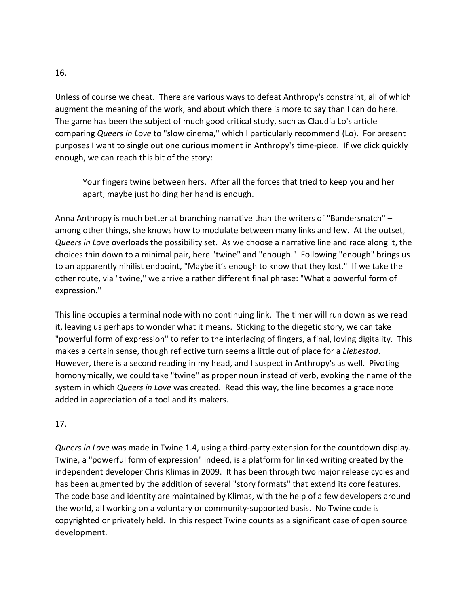Unless of course we cheat. There are various ways to defeat Anthropy's constraint, all of which augment the meaning of the work, and about which there is more to say than I can do here. The game has been the subject of much good critical study, such as Claudia Lo's article comparing *Queers in Love* to "slow cinema," which I particularly recommend (Lo). For present purposes I want to single out one curious moment in Anthropy's time-piece. If we click quickly enough, we can reach this bit of the story:

Your fingers twine between hers. After all the forces that tried to keep you and her apart, maybe just holding her hand is enough.

Anna Anthropy is much better at branching narrative than the writers of "Bandersnatch" – among other things, she knows how to modulate between many links and few. At the outset, *Queers in Love* overloads the possibility set. As we choose a narrative line and race along it, the choices thin down to a minimal pair, here "twine" and "enough." Following "enough" brings us to an apparently nihilist endpoint, "Maybe it's enough to know that they lost." If we take the other route, via "twine," we arrive a rather different final phrase: "What a powerful form of expression."

This line occupies a terminal node with no continuing link. The timer will run down as we read it, leaving us perhaps to wonder what it means. Sticking to the diegetic story, we can take "powerful form of expression" to refer to the interlacing of fingers, a final, loving digitality. This makes a certain sense, though reflective turn seems a little out of place for a *Liebestod*. However, there is a second reading in my head, and I suspect in Anthropy's as well. Pivoting homonymically, we could take "twine" as proper noun instead of verb, evoking the name of the system in which *Queers in Love* was created. Read this way, the line becomes a grace note added in appreciation of a tool and its makers.

### 17.

*Queers in Love* was made in Twine 1.4, using a third-party extension for the countdown display. Twine, a "powerful form of expression" indeed, is a platform for linked writing created by the independent developer Chris Klimas in 2009. It has been through two major release cycles and has been augmented by the addition of several "story formats" that extend its core features. The code base and identity are maintained by Klimas, with the help of a few developers around the world, all working on a voluntary or community-supported basis. No Twine code is copyrighted or privately held. In this respect Twine counts as a significant case of open source development.

16.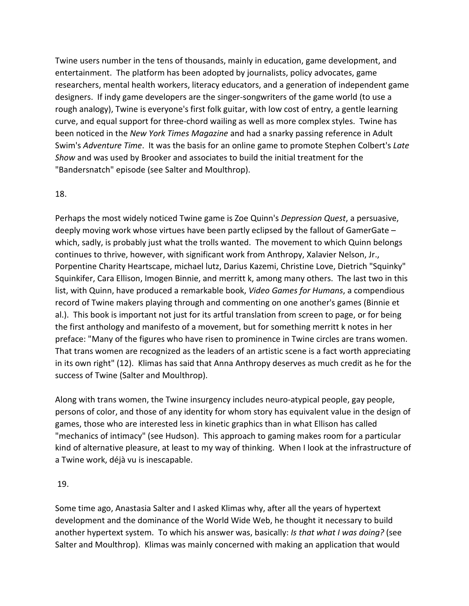Twine users number in the tens of thousands, mainly in education, game development, and entertainment. The platform has been adopted by journalists, policy advocates, game researchers, mental health workers, literacy educators, and a generation of independent game designers. If indy game developers are the singer-songwriters of the game world (to use a rough analogy), Twine is everyone's first folk guitar, with low cost of entry, a gentle learning curve, and equal support for three-chord wailing as well as more complex styles. Twine has been noticed in the *New York Times Magazine* and had a snarky passing reference in Adult Swim's *Adventure Time*. It was the basis for an online game to promote Stephen Colbert's *Late Show* and was used by Brooker and associates to build the initial treatment for the "Bandersnatch" episode (see Salter and Moulthrop).

## 18.

Perhaps the most widely noticed Twine game is Zoe Quinn's *Depression Quest*, a persuasive, deeply moving work whose virtues have been partly eclipsed by the fallout of GamerGate – which, sadly, is probably just what the trolls wanted. The movement to which Quinn belongs continues to thrive, however, with significant work from Anthropy, Xalavier Nelson, Jr., Porpentine Charity Heartscape, michael lutz, Darius Kazemi, Christine Love, Dietrich "Squinky" Squinkifer, Cara Ellison, Imogen Binnie, and merritt k, among many others. The last two in this list, with Quinn, have produced a remarkable book, *Video Games for Humans*, a compendious record of Twine makers playing through and commenting on one another's games (Binnie et al.). This book is important not just for its artful translation from screen to page, or for being the first anthology and manifesto of a movement, but for something merritt k notes in her preface: "Many of the figures who have risen to prominence in Twine circles are trans women. That trans women are recognized as the leaders of an artistic scene is a fact worth appreciating in its own right" (12). Klimas has said that Anna Anthropy deserves as much credit as he for the success of Twine (Salter and Moulthrop).

Along with trans women, the Twine insurgency includes neuro-atypical people, gay people, persons of color, and those of any identity for whom story has equivalent value in the design of games, those who are interested less in kinetic graphics than in what Ellison has called "mechanics of intimacy" (see Hudson). This approach to gaming makes room for a particular kind of alternative pleasure, at least to my way of thinking. When I look at the infrastructure of a Twine work, déjà vu is inescapable.

### 19.

Some time ago, Anastasia Salter and I asked Klimas why, after all the years of hypertext development and the dominance of the World Wide Web, he thought it necessary to build another hypertext system. To which his answer was, basically: *Is that what I was doing?* (see Salter and Moulthrop). Klimas was mainly concerned with making an application that would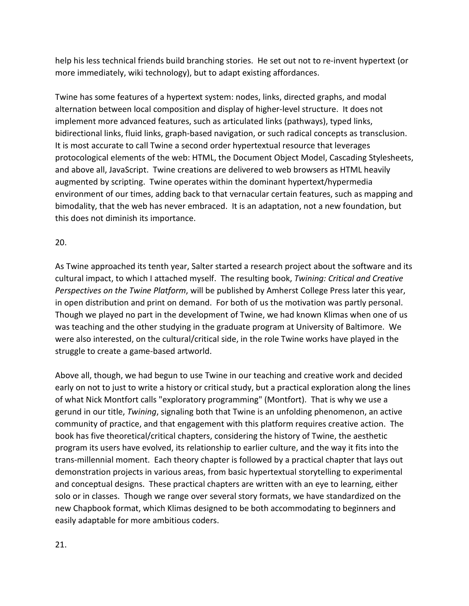help his less technical friends build branching stories. He set out not to re-invent hypertext (or more immediately, wiki technology), but to adapt existing affordances.

Twine has some features of a hypertext system: nodes, links, directed graphs, and modal alternation between local composition and display of higher-level structure. It does not implement more advanced features, such as articulated links (pathways), typed links, bidirectional links, fluid links, graph-based navigation, or such radical concepts as transclusion. It is most accurate to call Twine a second order hypertextual resource that leverages protocological elements of the web: HTML, the Document Object Model, Cascading Stylesheets, and above all, JavaScript. Twine creations are delivered to web browsers as HTML heavily augmented by scripting. Twine operates within the dominant hypertext/hypermedia environment of our times, adding back to that vernacular certain features, such as mapping and bimodality, that the web has never embraced. It is an adaptation, not a new foundation, but this does not diminish its importance.

## 20.

As Twine approached its tenth year, Salter started a research project about the software and its cultural impact, to which I attached myself. The resulting book, *Twining: Critical and Creative Perspectives on the Twine Platform*, will be published by Amherst College Press later this year, in open distribution and print on demand. For both of us the motivation was partly personal. Though we played no part in the development of Twine, we had known Klimas when one of us was teaching and the other studying in the graduate program at University of Baltimore. We were also interested, on the cultural/critical side, in the role Twine works have played in the struggle to create a game-based artworld.

Above all, though, we had begun to use Twine in our teaching and creative work and decided early on not to just to write a history or critical study, but a practical exploration along the lines of what Nick Montfort calls "exploratory programming" (Montfort). That is why we use a gerund in our title, *Twining*, signaling both that Twine is an unfolding phenomenon, an active community of practice, and that engagement with this platform requires creative action. The book has five theoretical/critical chapters, considering the history of Twine, the aesthetic program its users have evolved, its relationship to earlier culture, and the way it fits into the trans-millennial moment. Each theory chapter is followed by a practical chapter that lays out demonstration projects in various areas, from basic hypertextual storytelling to experimental and conceptual designs. These practical chapters are written with an eye to learning, either solo or in classes. Though we range over several story formats, we have standardized on the new Chapbook format, which Klimas designed to be both accommodating to beginners and easily adaptable for more ambitious coders.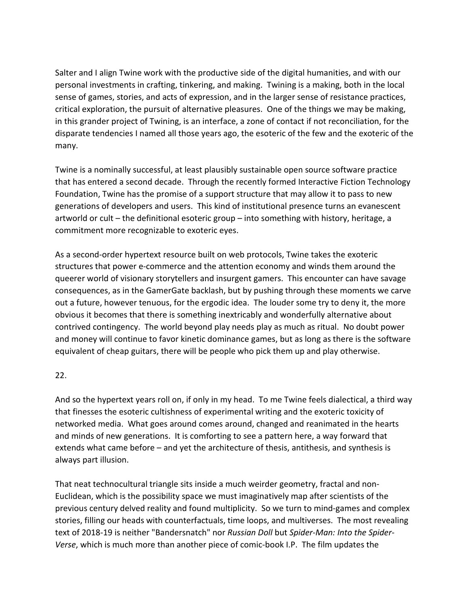Salter and I align Twine work with the productive side of the digital humanities, and with our personal investments in crafting, tinkering, and making. Twining is a making, both in the local sense of games, stories, and acts of expression, and in the larger sense of resistance practices, critical exploration, the pursuit of alternative pleasures. One of the things we may be making, in this grander project of Twining, is an interface, a zone of contact if not reconciliation, for the disparate tendencies I named all those years ago, the esoteric of the few and the exoteric of the many.

Twine is a nominally successful, at least plausibly sustainable open source software practice that has entered a second decade. Through the recently formed Interactive Fiction Technology Foundation, Twine has the promise of a support structure that may allow it to pass to new generations of developers and users. This kind of institutional presence turns an evanescent artworld or cult – the definitional esoteric group – into something with history, heritage, a commitment more recognizable to exoteric eyes.

As a second-order hypertext resource built on web protocols, Twine takes the exoteric structures that power e-commerce and the attention economy and winds them around the queerer world of visionary storytellers and insurgent gamers. This encounter can have savage consequences, as in the GamerGate backlash, but by pushing through these moments we carve out a future, however tenuous, for the ergodic idea. The louder some try to deny it, the more obvious it becomes that there is something inextricably and wonderfully alternative about contrived contingency. The world beyond play needs play as much as ritual. No doubt power and money will continue to favor kinetic dominance games, but as long as there is the software equivalent of cheap guitars, there will be people who pick them up and play otherwise.

# 22.

And so the hypertext years roll on, if only in my head. To me Twine feels dialectical, a third way that finesses the esoteric cultishness of experimental writing and the exoteric toxicity of networked media. What goes around comes around, changed and reanimated in the hearts and minds of new generations. It is comforting to see a pattern here, a way forward that extends what came before – and yet the architecture of thesis, antithesis, and synthesis is always part illusion.

That neat technocultural triangle sits inside a much weirder geometry, fractal and non-Euclidean, which is the possibility space we must imaginatively map after scientists of the previous century delved reality and found multiplicity. So we turn to mind-games and complex stories, filling our heads with counterfactuals, time loops, and multiverses. The most revealing text of 2018-19 is neither "Bandersnatch" nor *Russian Doll* but *Spider-Man: Into the Spider-Verse*, which is much more than another piece of comic-book I.P. The film updates the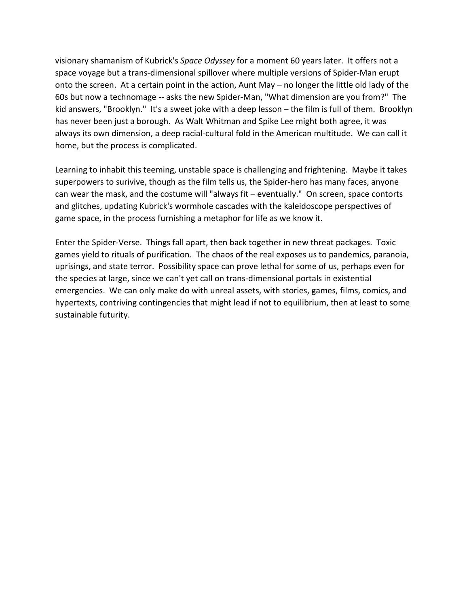visionary shamanism of Kubrick's *Space Odyssey* for a moment 60 years later. It offers not a space voyage but a trans-dimensional spillover where multiple versions of Spider-Man erupt onto the screen. At a certain point in the action, Aunt May – no longer the little old lady of the 60s but now a technomage -- asks the new Spider-Man, "What dimension are you from?" The kid answers, "Brooklyn." It's a sweet joke with a deep lesson – the film is full of them. Brooklyn has never been just a borough. As Walt Whitman and Spike Lee might both agree, it was always its own dimension, a deep racial-cultural fold in the American multitude. We can call it home, but the process is complicated.

Learning to inhabit this teeming, unstable space is challenging and frightening. Maybe it takes superpowers to surivive, though as the film tells us, the Spider-hero has many faces, anyone can wear the mask, and the costume will "always fit – eventually." On screen, space contorts and glitches, updating Kubrick's wormhole cascades with the kaleidoscope perspectives of game space, in the process furnishing a metaphor for life as we know it.

Enter the Spider-Verse. Things fall apart, then back together in new threat packages. Toxic games yield to rituals of purification. The chaos of the real exposes us to pandemics, paranoia, uprisings, and state terror. Possibility space can prove lethal for some of us, perhaps even for the species at large, since we can't yet call on trans-dimensional portals in existential emergencies. We can only make do with unreal assets, with stories, games, films, comics, and hypertexts, contriving contingencies that might lead if not to equilibrium, then at least to some sustainable futurity.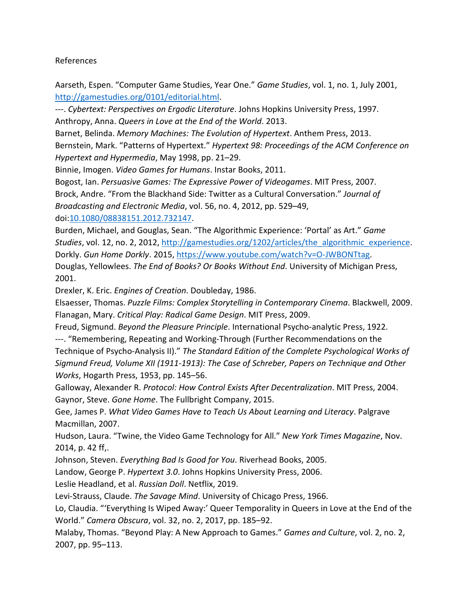## References

Aarseth, Espen. "Computer Game Studies, Year One." *Game Studies*, vol. 1, no. 1, July 2001, [http://gamestudies.org/0101/editorial.html.](http://gamestudies.org/0101/editorial.html)

---. *Cybertext: Perspectives on Ergodic Literature*. Johns Hopkins University Press, 1997. Anthropy, Anna. *Queers in Love at the End of the World*. 2013.

Barnet, Belinda. *Memory Machines: The Evolution of Hypertext*. Anthem Press, 2013.

Bernstein, Mark. "Patterns of Hypertext." *Hypertext 98: Proceedings of the ACM Conference on Hypertext and Hypermedia*, May 1998, pp. 21–29.

Binnie, Imogen. *Video Games for Humans*. Instar Books, 2011.

Bogost, Ian. *Persuasive Games: The Expressive Power of Videogames*. MIT Press, 2007. Brock, Andre. "From the Blackhand Side: Twitter as a Cultural Conversation." *Journal of Broadcasting and Electronic Media*, vol. 56, no. 4, 2012, pp. 529–49, doi[:10.1080/08838151.2012.732147.](https://doi.org/10.1080/08838151.2012.732147)

Burden, Michael, and Gouglas, Sean. "The Algorithmic Experience: 'Portal' as Art." *Game Studies*, vol. 12, no. 2, 2012, [http://gamestudies.org/1202/articles/the\\_algorithmic\\_experience.](http://gamestudies.org/1202/articles/the_algorithmic_experience) Dorkly. *Gun Home Dorkly*. 2015, [https://www.youtube.com/watch?v=O-JWBONTtag.](https://www.youtube.com/watch?v=O-JWBONTtag) Douglas, Yellowlees. *The End of Books? Or Books Without End*. University of Michigan Press, 2001.

Drexler, K. Eric. *Engines of Creation*. Doubleday, 1986.

Elsaesser, Thomas. *Puzzle Films: Complex Storytelling in Contemporary Cinema*. Blackwell, 2009. Flanagan, Mary. *Critical Play: Radical Game Design*. MIT Press, 2009.

Freud, Sigmund. *Beyond the Pleasure Principle*. International Psycho-analytic Press, 1922. ---. "Remembering, Repeating and Working-Through (Further Recommendations on the

Technique of Psycho-Analysis II)." *The Standard Edition of the Complete Psychological Works of Sigmund Freud, Volume XII (1911-1913): The Case of Schreber, Papers on Technique and Other Works*, Hogarth Press, 1953, pp. 145–56.

Galloway, Alexander R. *Protocol: How Control Exists After Decentralization*. MIT Press, 2004. Gaynor, Steve. *Gone Home*. The Fullbright Company, 2015.

Gee, James P. *What Video Games Have to Teach Us About Learning and Literacy*. Palgrave Macmillan, 2007.

Hudson, Laura. "Twine, the Video Game Technology for All." *New York Times Magazine*, Nov. 2014, p. 42 ff,.

Johnson, Steven. *Everything Bad Is Good for You*. Riverhead Books, 2005.

Landow, George P. *Hypertext 3.0*. Johns Hopkins University Press, 2006.

Leslie Headland, et al. *Russian Doll*. Netflix, 2019.

Levi-Strauss, Claude. *The Savage Mind*. University of Chicago Press, 1966.

Lo, Claudia. "'Everything Is Wiped Away:' Queer Temporality in Queers in Love at the End of the World." *Camera Obscura*, vol. 32, no. 2, 2017, pp. 185–92.

Malaby, Thomas. "Beyond Play: A New Approach to Games." *Games and Culture*, vol. 2, no. 2, 2007, pp. 95–113.